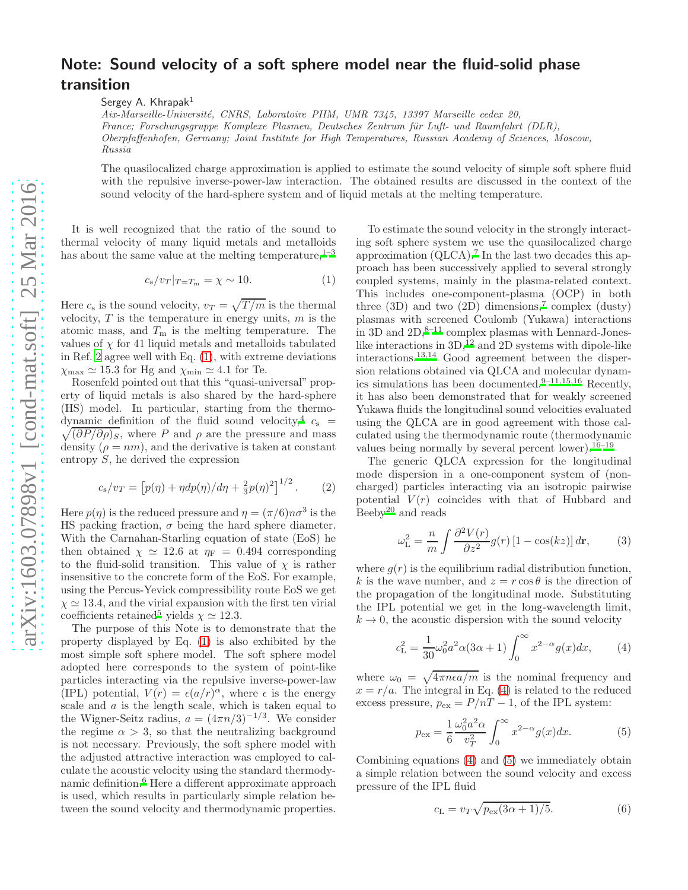## transition Sergey A. Khrapak<sup>1</sup> Aix-Marseille-Universit´e, CNRS, Laboratoire PIIM, UMR 7345, 13397 Marseille cedex 20, France; Forschungsgruppe Komplexe Plasmen, Deutsches Zentrum für Luft- und Raumfahrt (DLR), Oberpfaffenhofen, Germany; Joint Institute for High Temperatures, Russian Academy of Sciences, Moscow, Russia

The quasilocalized charge approximation is applied to estimate the sound velocity of simple soft sphere fluid with the repulsive inverse-power-law interaction. The obtained results are discussed in the context of the sound velocity of the hard-sphere system and of liquid metals at the melting temperature.

Note: Sound velocity of a soft sphere model near the fluid-solid phase

It is well recognized that the ratio of the sound to thermal velocity of many liquid metals and metalloids has about the same value at the melting temperature,  $1-3$  $1-3$ 

<span id="page-0-0"></span>
$$
c_{\rm s}/v_T|_{T=T_{\rm m}} = \chi \sim 10. \tag{1}
$$

Here  $c_s$  is the sound velocity,  $v_T = \sqrt{T/m}$  is the thermal velocity,  $T$  is the temperature in energy units,  $m$  is the atomic mass, and  $T<sub>m</sub>$  is the melting temperature. The values of  $\chi$  for 41 liquid metals and metalloids tabulated in Ref. [2](#page-1-2) agree well with Eq. [\(1\)](#page-0-0), with extreme deviations  $\chi_{\text{max}} \simeq 15.3$  for Hg and  $\chi_{\text{min}} \simeq 4.1$  for Te.

Rosenfeld pointed out that this "quasi-universal" property of liquid metals is also shared by the hard-sphere (HS) model. In particular, starting from the thermo-dynamic definition of the fluid sound velocity,<sup>[4](#page-1-3)</sup>  $c_s$  =  $\sqrt{(\partial P/\partial \rho)_S}$ , where P and  $\rho$  are the pressure and mass density  $(\rho = nm)$ , and the derivative is taken at constant entropy  $S$ , he derived the expression

$$
c_{\rm s}/v_T = \left[p(\eta) + \eta dp(\eta)/d\eta + \frac{2}{3}p(\eta)^2\right]^{1/2}.
$$
 (2)

Here  $p(\eta)$  is the reduced pressure and  $\eta = (\pi/6)n\sigma^3$  is the HS packing fraction,  $\sigma$  being the hard sphere diameter. With the Carnahan-Starling equation of state (EoS) he then obtained  $\chi \simeq 12.6$  at  $\eta_F = 0.494$  corresponding to the fluid-solid transition. This value of  $\chi$  is rather insensitive to the concrete form of the EoS. For example, using the Percus-Yevick compressibility route EoS we get  $\chi \simeq 13.4$ , and the virial expansion with the first ten virial coefficients retaine[d](#page-1-4)<sup>5</sup> yields  $\chi \simeq 12.3$ .

The purpose of this Note is to demonstrate that the property displayed by Eq. [\(1\)](#page-0-0) is also exhibited by the most simple soft sphere model. The soft sphere model adopted here corresponds to the system of point-like particles interacting via the repulsive inverse-power-law (IPL) potential,  $V(r) = \epsilon (a/r)^{\alpha}$ , where  $\epsilon$  is the energy scale and  $a$  is the length scale, which is taken equal to the Wigner-Seitz radius,  $a = (4\pi n/3)^{-1/3}$ . We consider the regime  $\alpha > 3$ , so that the neutralizing background is not necessary. Previously, the soft sphere model with the adjusted attractive interaction was employed to calculate the acoustic velocity using the standard thermodynamic definition.[6](#page-1-5) Here a different approximate approach is used, which results in particularly simple relation between the sound velocity and thermodynamic properties.

To estimate the sound velocity in the strongly interacting soft sphere system we use the quasilocalized charge approximation  $(QLCA)$ [.](#page-1-6)<sup>7</sup> In the last two decades this approach has been successively applied to several strongly coupled systems, mainly in the plasma-related context. This includes one-component-plasma (OCP) in both three  $(3D)$  and two  $(2D)$  dimensions[,](#page-1-6)<sup>7</sup> complex  $(dusty)$ plasmas with screened Coulomb (Yukawa) interactions in 3D and  $2D,^{8-11}$  $2D,^{8-11}$  $2D,^{8-11}$  complex plasmas with Lennard-Joneslike interactions in  $3D<sub>1</sub><sup>12</sup>$  $3D<sub>1</sub><sup>12</sup>$  $3D<sub>1</sub><sup>12</sup>$  and 2D systems with dipole-like interactions.[13](#page-1-10)[,14](#page-1-11) Good agreement between the dispersion relations obtained via QLCA and molecular dynamics simulations has been documented. $9-11,15,16$  $9-11,15,16$  $9-11,15,16$  $9-11,15,16$  Recently, it has also been demonstrated that for weakly screened Yukawa fluids the longitudinal sound velocities evaluated using the QLCA are in good agreement with those calculated using the thermodynamic route (thermodynamic values being normally by several percent lower).  $16-19$  $16-19$ 

The generic QLCA expression for the longitudinal mode dispersion in a one-component system of (noncharged) particles interacting via an isotropic pairwise potential  $V(r)$  coincides with that of Hubbard and Beeby<sup>[20](#page-1-16)</sup> and reads

$$
\omega_{\rm L}^2 = \frac{n}{m} \int \frac{\partial^2 V(r)}{\partial z^2} g(r) \left[1 - \cos(kz)\right] d\mathbf{r},\qquad(3)
$$

where  $g(r)$  is the equilibrium radial distribution function, k is the wave number, and  $z = r \cos \theta$  is the direction of the propagation of the longitudinal mode. Substituting the IPL potential we get in the long-wavelength limit,  $k \to 0$ , the acoustic dispersion with the sound velocity

<span id="page-0-1"></span>
$$
c_{\rm L}^2 = \frac{1}{30} \omega_0^2 a^2 \alpha (3\alpha + 1) \int_0^\infty x^{2-\alpha} g(x) dx, \qquad (4)
$$

where  $\omega_0 = \sqrt{4\pi n\epsilon a/m}$  is the nominal frequency and  $x = r/a$ . The integral in Eq. [\(4\)](#page-0-1) is related to the reduced excess pressure,  $p_{\text{ex}} = P/nT - 1$ , of the IPL system:

<span id="page-0-2"></span>
$$
p_{\text{ex}} = \frac{1}{6} \frac{\omega_0^2 a^2 \alpha}{v_T^2} \int_0^\infty x^{2-\alpha} g(x) dx.
$$
 (5)

Combining equations [\(4\)](#page-0-1) and [\(5\)](#page-0-2) we immediately obtain a simple relation between the sound velocity and excess pressure of the IPL fluid

<span id="page-0-3"></span>
$$
c_{\mathcal{L}} = v_T \sqrt{p_{\text{ex}}(3\alpha + 1)/5}.\tag{6}
$$